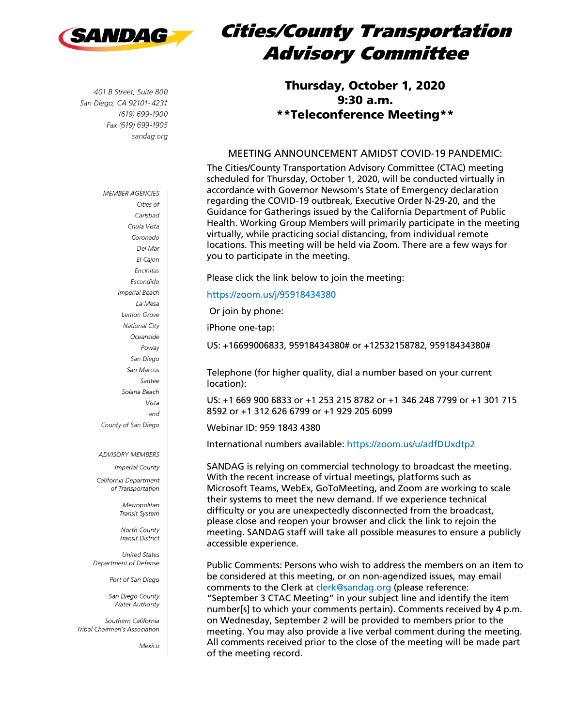

401 B Street, Suite 800 San Diego, CA 92101-4231 (619) 699-1900 Fax (619) 699-1905 sandag.org

**MEMBER AGENCIES** 

Cities of

# Cities/County Transportation Advisory Committee

### Thursday, October 1, 2020 9:30 a.m. \*\*Teleconference Meeting\*\*

#### MEETING ANNOUNCEMENT AMIDST COVID-19 PANDEMIC:

The Cities/County Transportation Advisory Committee (CTAC) meeting scheduled for Thursday, October 1, 2020, will be conducted virtually in accordance with Governor Newsom's State of Emergency declaration regarding the COVID-19 outbreak, Executive Order N-29-20, and the Guidance for Gatherings issued by the California Department of Public Health. Working Group Members will primarily participate in the meeting virtually, while practicing social distancing, from individual remote locations. This meeting will be held via Zoom. There are a few ways for you to participate in the meeting.

Please click the link below to join the meeting:

#### <https://zoom.us/j/95918434380>

Or join by phone:

iPhone one-tap:

US: +16699006833, 95918434380# or +12532158782, 95918434380#

Telephone (for higher quality, dial a number based on your current location):

US: +1 669 900 6833 or +1 253 215 8782 or +1 346 248 7799 or +1 301 715 8592 or +1 312 626 6799 or +1 929 205 6099

Webinar ID: 959 1843 4380

International numbers available:<https://zoom.us/u/adfDUxdtp2>

SANDAG is relying on commercial technology to broadcast the meeting. With the recent increase of virtual meetings, platforms such as Microsoft Teams, WebEx, GoToMeeting, and Zoom are working to scale their systems to meet the new demand. If we experience technical difficulty or you are unexpectedly disconnected from the broadcast, please close and reopen your browser and click the link to rejoin the meeting. SANDAG staff will take all possible measures to ensure a publicly accessible experience.

Public Comments: Persons who wish to address the members on an item to be considered at this meeting, or on non-agendized issues, may email comments to the Clerk at [clerk@sandag.org](https://sandag.sharepoint.com/sites/Agendas/Shared%20Documents/Working%20Groups/SANTEC/z_2020%20Archive/08.20.2020/Agenda/clerk@sandag.org) (please reference: "September 3 CTAC Meeting" in your subject line and identify the item number[s] to which your comments pertain). Comments received by 4 p.m. on Wednesday, September 2 will be provided to members prior to the meeting. You may also provide a live verbal comment during the meeting. All comments received prior to the close of the meeting will be made part of the meeting record.

Carlsbad Chula Vista Coronado Del Mar El Cajon Encinitas Escondido **Imperial Beach** La Mesa Lemon Grove **National City** Oceanside Poway San Diego San Marcos Santee Solana Beach Vista and County of San Diego

#### **ADVISORY MEMBERS**

**Imperial County** California Department of Transportation

> Metropolitan Transit System

North County **Transit District** 

**United States** Department of Defense

Port of San Diego

San Diego County **Water Authority** 

Southern California Tribal Chairmen's Association

Mexico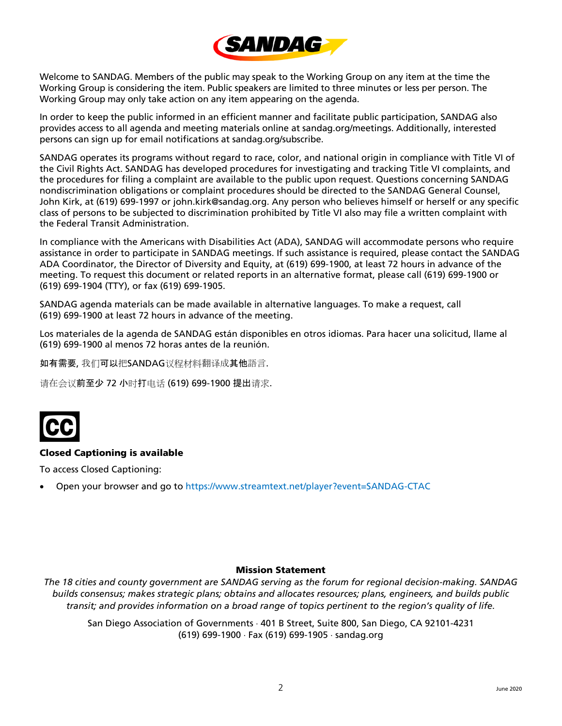

Welcome to SANDAG. Members of the public may speak to the Working Group on any item at the time the Working Group is considering the item. Public speakers are limited to three minutes or less per person. The Working Group may only take action on any item appearing on the agenda.

In order to keep the public informed in an efficient manner and facilitate public participation, SANDAG also provides access to all agenda and meeting materials online at sandag.org/meetings. Additionally, interested persons can sign up for email notifications at sandag.org/subscribe.

SANDAG operates its programs without regard to race, color, and national origin in compliance with Title VI of the Civil Rights Act. SANDAG has developed procedures for investigating and tracking Title VI complaints, and the procedures for filing a complaint are available to the public upon request. Questions concerning SANDAG nondiscrimination obligations or complaint procedures should be directed to the SANDAG General Counsel, John Kirk, at (619) 699-1997 or john.kirk@sandag.org. Any person who believes himself or herself or any specific class of persons to be subjected to discrimination prohibited by Title VI also may file a written complaint with the Federal Transit Administration.

In compliance with the Americans with Disabilities Act (ADA), SANDAG will accommodate persons who require assistance in order to participate in SANDAG meetings. If such assistance is required, please contact the SANDAG ADA Coordinator, the Director of Diversity and Equity, at (619) 699-1900, at least 72 hours in advance of the meeting. To request this document or related reports in an alternative format, please call (619) 699-1900 or (619) 699-1904 (TTY), or fax (619) 699-1905.

SANDAG agenda materials can be made available in alternative languages. To make a request, call (619) 699-1900 at least 72 hours in advance of the meeting.

Los materiales de la agenda de SANDAG están disponibles en otros idiomas. Para hacer una solicitud, llame al (619) 699-1900 al menos 72 horas antes de la reunión.

如有需要, 我们可以把SANDAG议程材料翻译成其他語言.

请在会议前至少 72 小时打电话 (619) 699-1900 提出请求.



#### Closed Captioning is available

To access Closed Captioning:

• Open your browser and go to<https://www.streamtext.net/player?event=SANDAG-CTAC>

#### Mission Statement

*The 18 cities and county government are SANDAG serving as the forum for regional decision-making. SANDAG builds consensus; makes strategic plans; obtains and allocates resources; plans, engineers, and builds public transit; and provides information on a broad range of topics pertinent to the region's quality of life.*

San Diego Association of Governments ⋅ 401 B Street, Suite 800, San Diego, CA 92101-4231 (619) 699-1900 ⋅ Fax (619) 699-1905 ⋅ sandag.org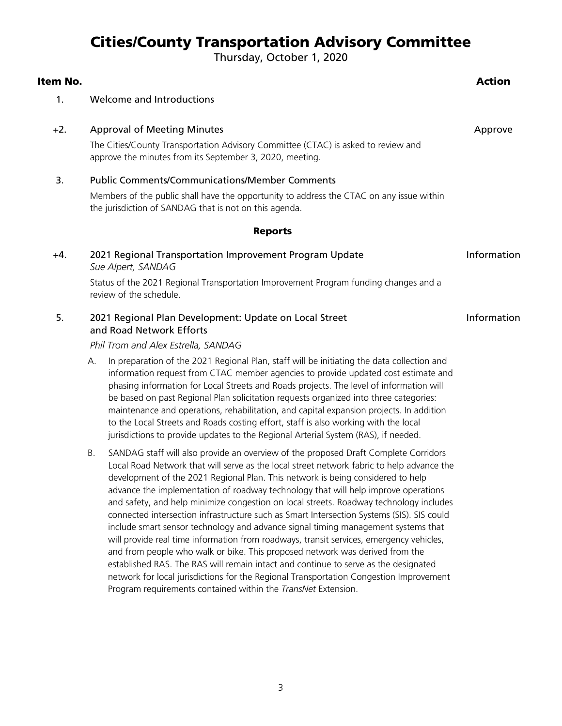## Cities/County Transportation Advisory Committee

Thursday, October 1, 2020

| Item No. |                                                                                                                                                                                                                                                                                                                                                                                                                                                                                                                                                                                                                                                                                                                                                                                                                                                                                                                                                                                                         | <b>Action</b> |
|----------|---------------------------------------------------------------------------------------------------------------------------------------------------------------------------------------------------------------------------------------------------------------------------------------------------------------------------------------------------------------------------------------------------------------------------------------------------------------------------------------------------------------------------------------------------------------------------------------------------------------------------------------------------------------------------------------------------------------------------------------------------------------------------------------------------------------------------------------------------------------------------------------------------------------------------------------------------------------------------------------------------------|---------------|
| 1.       | Welcome and Introductions                                                                                                                                                                                                                                                                                                                                                                                                                                                                                                                                                                                                                                                                                                                                                                                                                                                                                                                                                                               |               |
| $+2.$    | <b>Approval of Meeting Minutes</b><br>Approve<br>The Cities/County Transportation Advisory Committee (CTAC) is asked to review and<br>approve the minutes from its September 3, 2020, meeting.                                                                                                                                                                                                                                                                                                                                                                                                                                                                                                                                                                                                                                                                                                                                                                                                          |               |
| 3.       | <b>Public Comments/Communications/Member Comments</b><br>Members of the public shall have the opportunity to address the CTAC on any issue within<br>the jurisdiction of SANDAG that is not on this agenda.                                                                                                                                                                                                                                                                                                                                                                                                                                                                                                                                                                                                                                                                                                                                                                                             |               |
|          | <b>Reports</b>                                                                                                                                                                                                                                                                                                                                                                                                                                                                                                                                                                                                                                                                                                                                                                                                                                                                                                                                                                                          |               |
| +4.      | 2021 Regional Transportation Improvement Program Update<br>Sue Alpert, SANDAG                                                                                                                                                                                                                                                                                                                                                                                                                                                                                                                                                                                                                                                                                                                                                                                                                                                                                                                           | Information   |
|          | Status of the 2021 Regional Transportation Improvement Program funding changes and a<br>review of the schedule.                                                                                                                                                                                                                                                                                                                                                                                                                                                                                                                                                                                                                                                                                                                                                                                                                                                                                         |               |
| 5.       | 2021 Regional Plan Development: Update on Local Street<br>and Road Network Efforts                                                                                                                                                                                                                                                                                                                                                                                                                                                                                                                                                                                                                                                                                                                                                                                                                                                                                                                      | Information   |
|          | Phil Trom and Alex Estrella, SANDAG                                                                                                                                                                                                                                                                                                                                                                                                                                                                                                                                                                                                                                                                                                                                                                                                                                                                                                                                                                     |               |
|          | In preparation of the 2021 Regional Plan, staff will be initiating the data collection and<br>А.<br>information request from CTAC member agencies to provide updated cost estimate and<br>phasing information for Local Streets and Roads projects. The level of information will<br>be based on past Regional Plan solicitation requests organized into three categories:<br>maintenance and operations, rehabilitation, and capital expansion projects. In addition<br>to the Local Streets and Roads costing effort, staff is also working with the local<br>jurisdictions to provide updates to the Regional Arterial System (RAS), if needed.                                                                                                                                                                                                                                                                                                                                                      |               |
|          | SANDAG staff will also provide an overview of the proposed Draft Complete Corridors<br>Β.<br>Local Road Network that will serve as the local street network fabric to help advance the<br>development of the 2021 Regional Plan. This network is being considered to help<br>advance the implementation of roadway technology that will help improve operations<br>and safety, and help minimize congestion on local streets. Roadway technology includes<br>connected intersection infrastructure such as Smart Intersection Systems (SIS). SIS could<br>include smart sensor technology and advance signal timing management systems that<br>will provide real time information from roadways, transit services, emergency vehicles,<br>and from people who walk or bike. This proposed network was derived from the<br>established RAS. The RAS will remain intact and continue to serve as the designated<br>network for local jurisdictions for the Regional Transportation Congestion Improvement |               |

Program requirements contained within the *TransNet* Extension.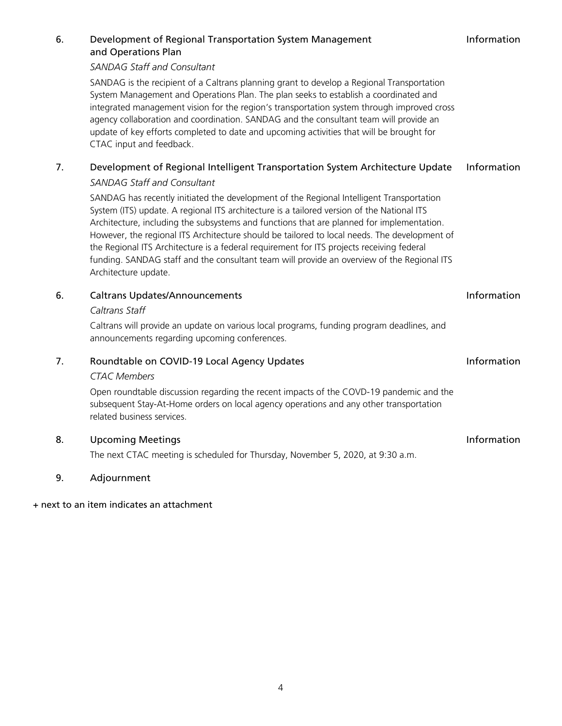|    | SANDAG is the recipient of a Caltrans planning grant to develop a Regional Transportation<br>System Management and Operations Plan. The plan seeks to establish a coordinated and<br>integrated management vision for the region's transportation system through improved cross<br>agency collaboration and coordination. SANDAG and the consultant team will provide an<br>update of key efforts completed to date and upcoming activities that will be brought for<br>CTAC input and feedback.                                                                                                       |             |
|----|--------------------------------------------------------------------------------------------------------------------------------------------------------------------------------------------------------------------------------------------------------------------------------------------------------------------------------------------------------------------------------------------------------------------------------------------------------------------------------------------------------------------------------------------------------------------------------------------------------|-------------|
| 7. | Development of Regional Intelligent Transportation System Architecture Update<br><b>SANDAG Staff and Consultant</b>                                                                                                                                                                                                                                                                                                                                                                                                                                                                                    | Information |
|    | SANDAG has recently initiated the development of the Regional Intelligent Transportation<br>System (ITS) update. A regional ITS architecture is a tailored version of the National ITS<br>Architecture, including the subsystems and functions that are planned for implementation.<br>However, the regional ITS Architecture should be tailored to local needs. The development of<br>the Regional ITS Architecture is a federal requirement for ITS projects receiving federal<br>funding. SANDAG staff and the consultant team will provide an overview of the Regional ITS<br>Architecture update. |             |
| 6. | <b>Caltrans Updates/Announcements</b>                                                                                                                                                                                                                                                                                                                                                                                                                                                                                                                                                                  | Information |
|    | Caltrans Staff                                                                                                                                                                                                                                                                                                                                                                                                                                                                                                                                                                                         |             |
|    | Caltrans will provide an update on various local programs, funding program deadlines, and<br>announcements regarding upcoming conferences.                                                                                                                                                                                                                                                                                                                                                                                                                                                             |             |
| 7. | Roundtable on COVID-19 Local Agency Updates                                                                                                                                                                                                                                                                                                                                                                                                                                                                                                                                                            | Information |
|    | <b>CTAC Members</b>                                                                                                                                                                                                                                                                                                                                                                                                                                                                                                                                                                                    |             |
|    | Open roundtable discussion regarding the recent impacts of the COVD-19 pandemic and the<br>subsequent Stay-At-Home orders on local agency operations and any other transportation<br>related business services.                                                                                                                                                                                                                                                                                                                                                                                        |             |
| 8. | <b>Upcoming Meetings</b>                                                                                                                                                                                                                                                                                                                                                                                                                                                                                                                                                                               | Information |

Information

The next CTAC meeting is scheduled for Thursday, November 5, 2020, at 9:30 a.m.

#### 9. Adjournment

+ next to an item indicates an attachment

### 6. Development of Regional Transportation System Management and Operations Plan

*SANDAG Staff and Consultant*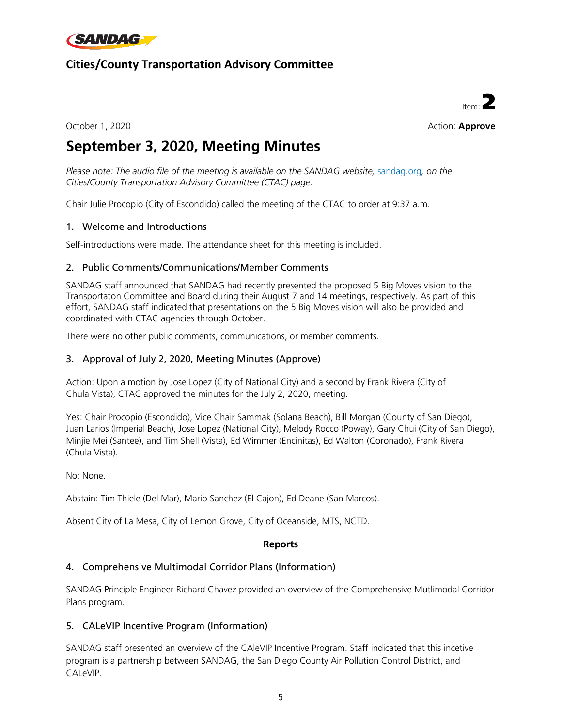

### **Cities/County Transportation Advisory Committee**



October 1, 2020 **Action: Approve** Action: **Approve** 

## **September 3, 2020, Meeting Minutes**

*Please note: The audio file of the meeting is available on the SANDAG website, [sandag.org](http://vmoss2010/Agenda/Working%20Group/CCTAC/z-2018%20Archives/12.06.18/Item%2002%20-%20October%204,%202018,%20Meeting%20Minutes/sandag.org), on the Cities/County Transportation Advisory Committee (CTAC) page.*

Chair Julie Procopio (City of Escondido) called the meeting of the CTAC to order at 9:37 a.m.

#### 1. Welcome and Introductions

Self-introductions were made. The attendance sheet for this meeting is included.

#### 2. Public Comments/Communications/Member Comments

SANDAG staff announced that SANDAG had recently presented the proposed 5 Big Moves vision to the Transportaton Committee and Board during their August 7 and 14 meetings, respectively. As part of this effort, SANDAG staff indicated that presentations on the 5 Big Moves vision will also be provided and coordinated with CTAC agencies through October.

There were no other public comments, communications, or member comments.

#### 3. Approval of July 2, 2020, Meeting Minutes (Approve)

Action: Upon a motion by Jose Lopez (City of National City) and a second by Frank Rivera (City of Chula Vista), CTAC approved the minutes for the July 2, 2020, meeting.

Yes: Chair Procopio (Escondido), Vice Chair Sammak (Solana Beach), Bill Morgan (County of San Diego), Juan Larios (Imperial Beach), Jose Lopez (National City), Melody Rocco (Poway), Gary Chui (City of San Diego), Minjie Mei (Santee), and Tim Shell (Vista), Ed Wimmer (Encinitas), Ed Walton (Coronado), Frank Rivera (Chula Vista).

No: None.

Abstain: Tim Thiele (Del Mar), Mario Sanchez (El Cajon), Ed Deane (San Marcos).

Absent City of La Mesa, City of Lemon Grove, City of Oceanside, MTS, NCTD.

#### **Reports**

#### 4. Comprehensive Multimodal Corridor Plans (Information)

SANDAG Principle Engineer Richard Chavez provided an overview of the Comprehensive Mutlimodal Corridor Plans program.

#### 5. CALeVIP Incentive Program (Information)

SANDAG staff presented an overview of the CAleVIP Incentive Program. Staff indicated that this incetive program is a partnership between SANDAG, the San Diego County Air Pollution Control District, and CALeVIP.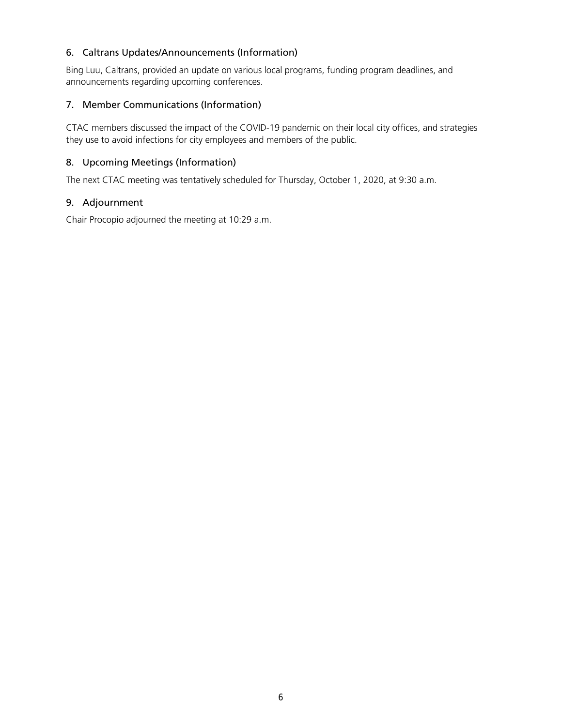#### 6. Caltrans Updates/Announcements (Information)

Bing Luu, Caltrans, provided an update on various local programs, funding program deadlines, and announcements regarding upcoming conferences.

#### 7. Member Communications (Information)

CTAC members discussed the impact of the COVID-19 pandemic on their local city offices, and strategies they use to avoid infections for city employees and members of the public.

#### 8. Upcoming Meetings (Information)

The next CTAC meeting was tentatively scheduled for Thursday, October 1, 2020, at 9:30 a.m.

#### 9. Adjournment

Chair Procopio adjourned the meeting at 10:29 a.m.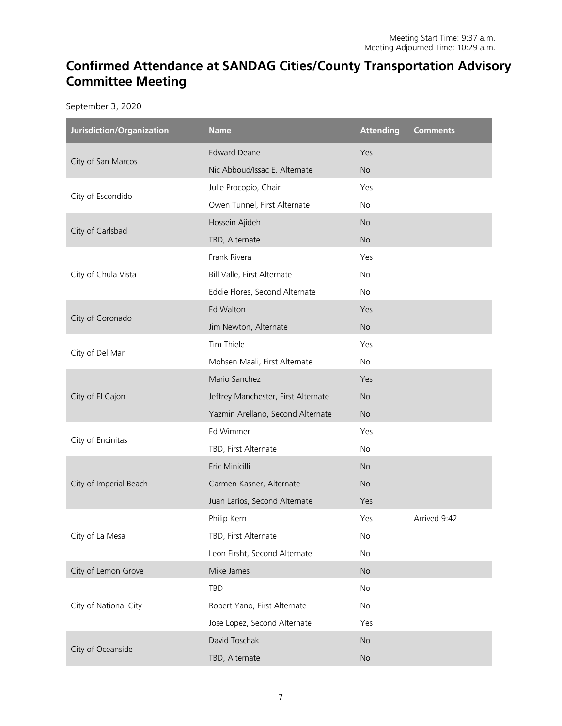## **Confirmed Attendance at SANDAG Cities/County Transportation Advisory Committee Meeting**

September 3, 2020

| Jurisdiction/Organization | <b>Name</b>                         | <b>Attending</b> | <b>Comments</b> |
|---------------------------|-------------------------------------|------------------|-----------------|
|                           | <b>Edward Deane</b>                 | Yes              |                 |
| City of San Marcos        | Nic Abboud/Issac E. Alternate       | <b>No</b>        |                 |
|                           | Julie Procopio, Chair               | Yes              |                 |
| City of Escondido         | Owen Tunnel, First Alternate        | No               |                 |
|                           | Hossein Ajideh                      | <b>No</b>        |                 |
| City of Carlsbad          | TBD, Alternate                      | <b>No</b>        |                 |
|                           | Frank Rivera                        | Yes              |                 |
| City of Chula Vista       | Bill Valle, First Alternate         | No               |                 |
|                           | Eddie Flores, Second Alternate      | No               |                 |
|                           | Ed Walton                           | Yes              |                 |
| City of Coronado          | Jim Newton, Alternate               | <b>No</b>        |                 |
|                           | Tim Thiele                          | Yes              |                 |
| City of Del Mar           | Mohsen Maali, First Alternate       | No               |                 |
|                           | Mario Sanchez                       | Yes              |                 |
| City of El Cajon          | Jeffrey Manchester, First Alternate | <b>No</b>        |                 |
|                           | Yazmin Arellano, Second Alternate   | <b>No</b>        |                 |
|                           | Ed Wimmer                           | Yes              |                 |
| City of Encinitas         | TBD, First Alternate                | No               |                 |
|                           | Eric Minicilli                      | <b>No</b>        |                 |
| City of Imperial Beach    | Carmen Kasner, Alternate            | <b>No</b>        |                 |
|                           | Juan Larios, Second Alternate       | Yes              |                 |
|                           | Philip Kern                         | Yes              | Arrived 9:42    |
| City of La Mesa           | TBD, First Alternate                | No               |                 |
|                           | Leon Firsht, Second Alternate       | No               |                 |
| City of Lemon Grove       | Mike James                          | <b>No</b>        |                 |
|                           | TBD                                 | No               |                 |
| City of National City     | Robert Yano, First Alternate        | No               |                 |
|                           | Jose Lopez, Second Alternate        | Yes              |                 |
| City of Oceanside         | David Toschak                       | <b>No</b>        |                 |
|                           | TBD, Alternate                      | No               |                 |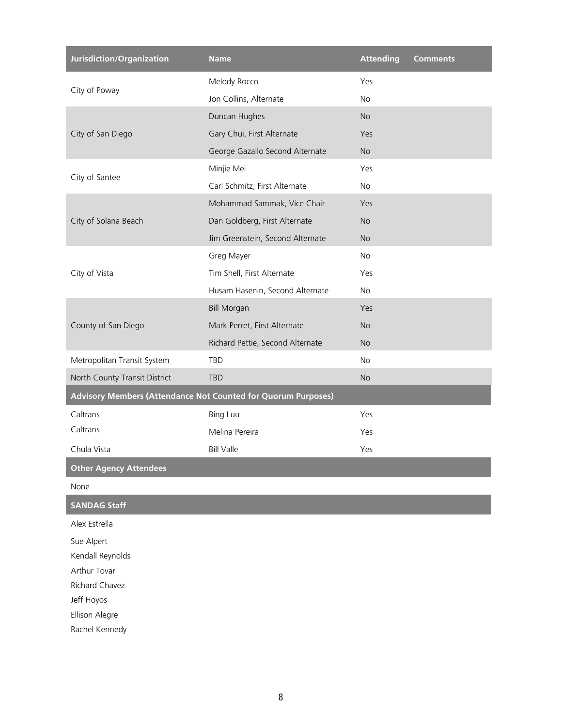| Jurisdiction/Organization     | <b>Name</b>                                                   | <b>Attending</b> | <b>Comments</b> |  |  |
|-------------------------------|---------------------------------------------------------------|------------------|-----------------|--|--|
|                               | Melody Rocco                                                  | Yes              |                 |  |  |
| City of Poway                 | Jon Collins, Alternate                                        | No               |                 |  |  |
|                               | Duncan Hughes                                                 | <b>No</b>        |                 |  |  |
| City of San Diego             | Gary Chui, First Alternate                                    | Yes              |                 |  |  |
|                               | George Gazallo Second Alternate                               | <b>No</b>        |                 |  |  |
|                               | Minjie Mei                                                    | Yes              |                 |  |  |
| City of Santee                | Carl Schmitz, First Alternate                                 | No               |                 |  |  |
|                               | Mohammad Sammak, Vice Chair                                   | Yes              |                 |  |  |
| City of Solana Beach          | Dan Goldberg, First Alternate                                 | <b>No</b>        |                 |  |  |
|                               | Jim Greenstein, Second Alternate                              | <b>No</b>        |                 |  |  |
|                               | Greg Mayer                                                    | No               |                 |  |  |
| City of Vista                 | Tim Shell, First Alternate                                    | Yes              |                 |  |  |
|                               | Husam Hasenin, Second Alternate                               | No               |                 |  |  |
|                               | <b>Bill Morgan</b>                                            | Yes              |                 |  |  |
| County of San Diego           | Mark Perret, First Alternate                                  | <b>No</b>        |                 |  |  |
|                               | Richard Pettie, Second Alternate                              | <b>No</b>        |                 |  |  |
| Metropolitan Transit System   | <b>TBD</b>                                                    | <b>No</b>        |                 |  |  |
| North County Transit District | <b>TBD</b>                                                    | <b>No</b>        |                 |  |  |
|                               | Advisory Members (Attendance Not Counted for Quorum Purposes) |                  |                 |  |  |
| Caltrans                      | <b>Bing Luu</b>                                               | Yes              |                 |  |  |
| Caltrans                      | Melina Pereira                                                | Yes              |                 |  |  |
| Chula Vista                   | <b>Bill Valle</b>                                             | Yes              |                 |  |  |
| <b>Other Agency Attendees</b> |                                                               |                  |                 |  |  |
| None                          |                                                               |                  |                 |  |  |
| <b>SANDAG Staff</b>           |                                                               |                  |                 |  |  |
| Alex Estrella                 |                                                               |                  |                 |  |  |
| Sue Alpert                    |                                                               |                  |                 |  |  |
| Kendall Reynolds              |                                                               |                  |                 |  |  |
| Arthur Tovar                  |                                                               |                  |                 |  |  |
| Richard Chavez<br>Jeff Hoyos  |                                                               |                  |                 |  |  |
| Ellison Alegre                |                                                               |                  |                 |  |  |
| Rachel Kennedy                |                                                               |                  |                 |  |  |
|                               |                                                               |                  |                 |  |  |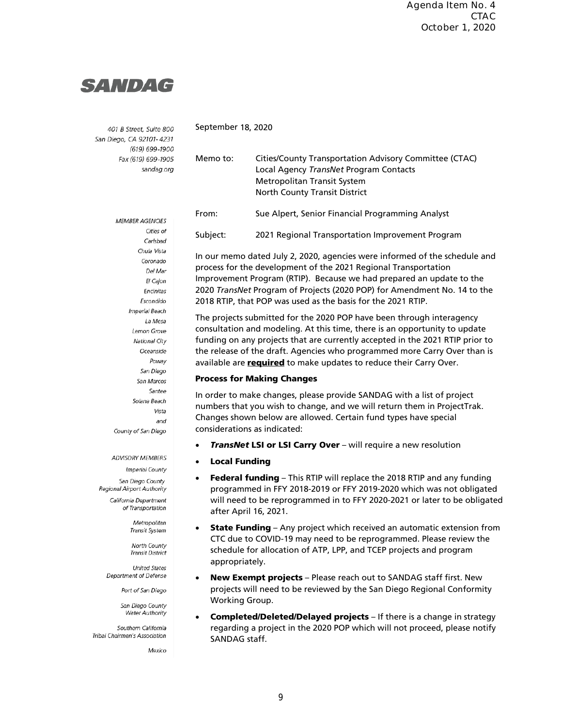## **SANDAG**

401 B Street, Suite 800 San Diego, CA 92101-4231 (619) 699-1900 Fax (619) 699-1905 sandag.org

Memo to: Cities/County Transportation Advisory Committee (CTAC) Local Agency *TransNet* Program Contacts Metropolitan Transit System North County Transit District From: Sue Alpert, Senior Financial Programming Analyst Subject: 2021 Regional Transportation Improvement Program In our memo dated July 2, 2020, agencies were informed of the schedule and process for the development of the 2021 Regional Transportation

Improvement Program (RTIP). Because we had prepared an update to the 2020 *TransNet* Program of Projects (2020 POP) for Amendment No. 14 to the 2018 RTIP, that POP was used as the basis for the 2021 RTIP.

The projects submitted for the 2020 POP have been through interagency consultation and modeling. At this time, there is an opportunity to update funding on any projects that are currently accepted in the 2021 RTIP prior to the release of the draft. Agencies who programmed more Carry Over than is available are **required** to make updates to reduce their Carry Over.

#### Process for Making Changes

In order to make changes, please provide SANDAG with a list of project numbers that you wish to change, and we will return them in ProjectTrak. Changes shown below are allowed. Certain fund types have special considerations as indicated:

- **TransNet LSI or LSI Carry Over** will require a new resolution
- **Local Funding**

September 18, 2020

- Federal funding This RTIP will replace the 2018 RTIP and any funding programmed in FFY 2018-2019 or FFY 2019-2020 which was not obligated will need to be reprogrammed in to FFY 2020-2021 or later to be obligated after April 16, 2021.
- **State Funding** Any project which received an automatic extension from CTC due to COVID-19 may need to be reprogrammed. Please review the schedule for allocation of ATP, LPP, and TCEP projects and program appropriately.
- **New Exempt projects** Please reach out to SANDAG staff first. New projects will need to be reviewed by the San Diego Regional Conformity Working Group.
- Completed/Deleted/Delayed projects If there is a change in strategy regarding a project in the 2020 POP which will not proceed, please notify SANDAG staff.

**MEMBER AGENCIES** Cities of Carlshad Chula Vista Coronado Del Mar El Cajon Encinitas Escondido Imperial Reach La Mesa Lemon Grove National City Oceanside Poway San Diego San Marcos Santee Solana Beach Vista and County of San Diego

ADVISORY MEMBERS

Imperial County San Diego County Regional Airport Authority California Department of Transportation

> Metropolitan Transit System

**North County Transit District United States** 

Department of Defense

Port of San Diego

San Diego County **Water Authority** 

Southern California Tribal Chairmen's Association

Mexico